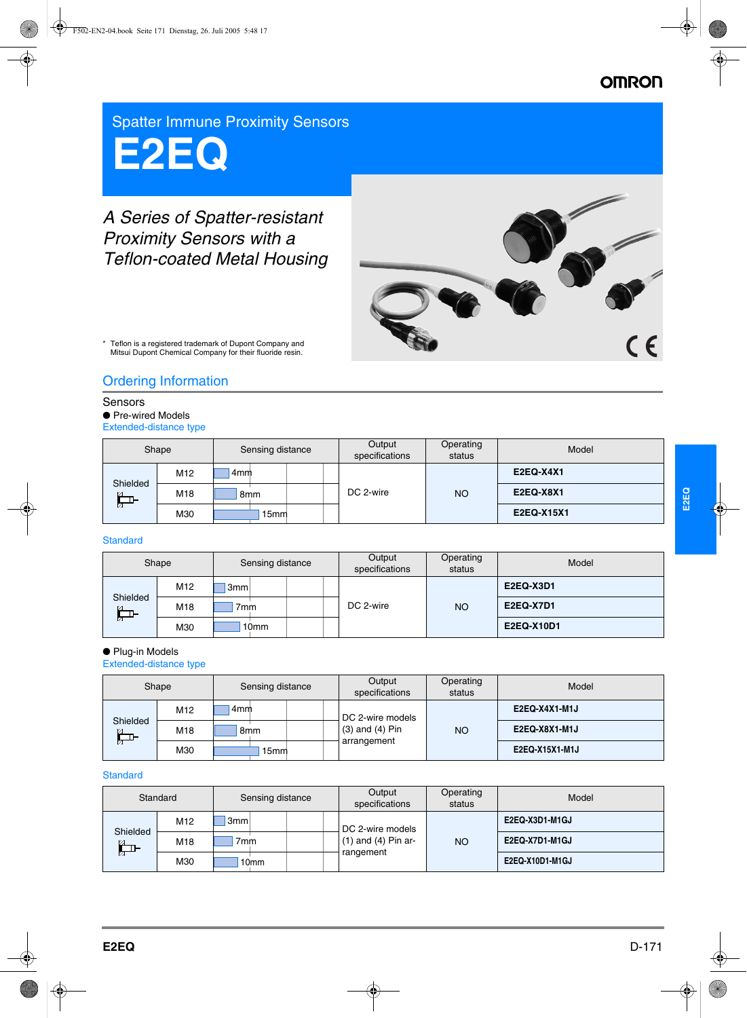# **OMRON**

Spatter Immune Proximity Sensors

# **E2EQ**

# *A Series of Spatter-resistant Proximity Sensors with a Teflon-coated Metal Housing*



Teflon is a registered trademark of Dupont Company and Mitsui Dupont Chemical Company for their fluoride resin.

# Ordering Information

# Sensors

● Pre-wired Models Extended-distance type

| Shape                     |                 | Sensing distance | Output<br>specifications | Operating<br>status | Model            |
|---------------------------|-----------------|------------------|--------------------------|---------------------|------------------|
|                           | M <sub>12</sub> | 4mm              |                          |                     | <b>E2EQ-X4X1</b> |
| Shielded<br>$\frac{1}{2}$ | M18             | 8mm              | DC 2-wire                | <b>NO</b>           | <b>E2EQ-X8X1</b> |
|                           | M30             | 15 <sub>mm</sub> |                          |                     | E2EQ-X15X1       |

### **Standard**

| Shape                              |     | Sensing distance | Output<br>specifications | Operating<br>status | Model            |
|------------------------------------|-----|------------------|--------------------------|---------------------|------------------|
|                                    | M12 | 3 <sub>mm</sub>  |                          |                     | <b>E2EQ-X3D1</b> |
| Shielded<br>$\alpha$<br><b>THE</b> | M18 | 7 <sub>mm</sub>  | DC 2-wire                | <b>NO</b>           | <b>E2EQ-X7D1</b> |
| n                                  | M30 | 10 <sub>mm</sub> |                          |                     | E2EQ-X10D1       |

# ● Plug-in Models

Extended-distance type

| Shape                     |                 | Sensing distance | Output<br>specifications | Operating<br>status | Model          |
|---------------------------|-----------------|------------------|--------------------------|---------------------|----------------|
|                           | M <sub>12</sub> | 4mm              | DC 2-wire models         |                     | E2EQ-X4X1-M1J  |
| Shielded<br>$\frac{1}{2}$ | M18             | 8 <sub>mm</sub>  | $(3)$ and $(4)$ Pin      | <b>NO</b>           | E2EQ-X8X1-M1J  |
|                           | M30             | 15mm             | arrangement              |                     | E2EQ-X15X1-M1J |

# **Standard**

| Standard                                   |     | Sensing distance | Output<br>specifications                                 | Operating<br>status | Model           |
|--------------------------------------------|-----|------------------|----------------------------------------------------------|---------------------|-----------------|
| Shielded<br>$\mathfrak{a}$<br>$\mathbb{Z}$ | M12 | 3 <sub>mm</sub>  | DC 2-wire models<br>$(1)$ and $(4)$ Pin ar-<br>rangement | <b>NO</b>           | E2EQ-X3D1-M1GJ  |
|                                            | M18 | 7 <sub>mm</sub>  |                                                          |                     | E2EQ-X7D1-M1GJ  |
|                                            | M30 | 10mm             |                                                          |                     | E2EQ-X10D1-M1GJ |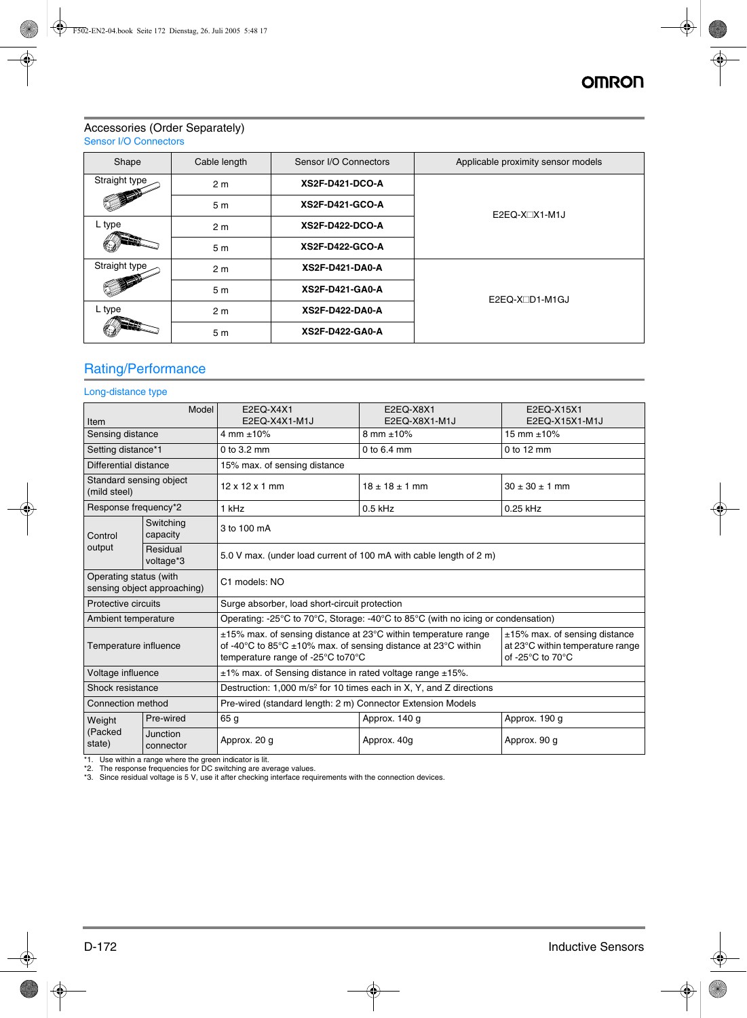### Accessories (Order Separately) Sensor I/O Connectors

| Shape         | Cable length                             | Sensor I/O Connectors  | Applicable proximity sensor models |  |
|---------------|------------------------------------------|------------------------|------------------------------------|--|
| Straight type | 2 <sub>m</sub>                           | <b>XS2F-D421-DCO-A</b> |                                    |  |
|               | 5 <sub>m</sub>                           | <b>XS2F-D421-GCO-A</b> | $E2EQ-X1$ $M1J$                    |  |
| L type        | 2 <sub>m</sub>                           | XS2F-D422-DCO-A        |                                    |  |
|               | <b>XS2F-D422-GCO-A</b><br>5 <sub>m</sub> |                        |                                    |  |
| Straight type | 2 <sub>m</sub>                           | <b>XS2F-D421-DA0-A</b> |                                    |  |
|               | 5 <sub>m</sub>                           | XS2F-D421-GA0-A        | $E2EQ-XCD1-M1GJ$                   |  |
| L type        | 2 <sub>m</sub>                           | XS2F-D422-DA0-A        |                                    |  |
|               | 5 <sub>m</sub>                           | XS2F-D422-GA0-A        |                                    |  |

# Rating/Performance

### Long-distance type

| Model                                   |                             | E2EQ-X4X1                                                                                                                                                                                                                                                                                                                   | E2EQ-X8X1            | E2EQ-X15X1           |  |  |
|-----------------------------------------|-----------------------------|-----------------------------------------------------------------------------------------------------------------------------------------------------------------------------------------------------------------------------------------------------------------------------------------------------------------------------|----------------------|----------------------|--|--|
| Item                                    |                             | E2EQ-X4X1-M1J                                                                                                                                                                                                                                                                                                               | E2EQ-X8X1-M1J        | E2EQ-X15X1-M1J       |  |  |
| Sensing distance                        |                             | 4 mm $\pm 10\%$                                                                                                                                                                                                                                                                                                             | 8 mm $\pm 10\%$      | 15 mm $\pm 10\%$     |  |  |
| Setting distance*1                      |                             | $0$ to $3.2$ mm                                                                                                                                                                                                                                                                                                             | $0$ to $6.4$ mm      | $0$ to 12 mm         |  |  |
| Differential distance                   |                             | 15% max. of sensing distance                                                                                                                                                                                                                                                                                                |                      |                      |  |  |
| Standard sensing object<br>(mild steel) |                             | $12 \times 12 \times 1$ mm                                                                                                                                                                                                                                                                                                  | $18 \pm 18 \pm 1$ mm | $30 \pm 30 \pm 1$ mm |  |  |
| Response frequency*2                    |                             | 1 kHz                                                                                                                                                                                                                                                                                                                       | $0.5$ kHz            | 0.25 kHz             |  |  |
| Control                                 | Switching<br>capacity       | 3 to 100 mA                                                                                                                                                                                                                                                                                                                 |                      |                      |  |  |
| output                                  | Residual<br>voltage*3       | 5.0 V max. (under load current of 100 mA with cable length of 2 m)                                                                                                                                                                                                                                                          |                      |                      |  |  |
| Operating status (with                  | sensing object approaching) | C1 models: NO                                                                                                                                                                                                                                                                                                               |                      |                      |  |  |
| Protective circuits                     |                             | Surge absorber, load short-circuit protection                                                                                                                                                                                                                                                                               |                      |                      |  |  |
| Ambient temperature                     |                             | Operating: -25 $\degree$ C to 70 $\degree$ C, Storage: -40 $\degree$ C to 85 $\degree$ C (with no icing or condensation)                                                                                                                                                                                                    |                      |                      |  |  |
| Temperature influence                   |                             | $\pm$ 15% max. of sensing distance at 23°C within temperature range<br>±15% max. of sensing distance<br>of -40 $\mathrm{^{\circ}C}$ to 85 $\mathrm{^{\circ}C}$ ±10% max. of sensing distance at 23 $\mathrm{^{\circ}C}$ within<br>at 23°C within temperature range<br>of -25°C to 70°C<br>temperature range of -25°C to70°C |                      |                      |  |  |
| Voltage influence                       |                             | $±1\%$ max. of Sensing distance in rated voltage range $±15\%$ .                                                                                                                                                                                                                                                            |                      |                      |  |  |
| Shock resistance                        |                             | Destruction: 1,000 m/s <sup>2</sup> for 10 times each in X, Y, and Z directions                                                                                                                                                                                                                                             |                      |                      |  |  |
| Connection method                       |                             | Pre-wired (standard length: 2 m) Connector Extension Models                                                                                                                                                                                                                                                                 |                      |                      |  |  |
| Weight                                  | Pre-wired                   | 65 <sub>q</sub>                                                                                                                                                                                                                                                                                                             | Approx. 140 g        | Approx. 190 g        |  |  |
| (Packed<br>state)                       | Junction<br>connector       | Approx. 20 g                                                                                                                                                                                                                                                                                                                | Approx. 40g          | Approx. 90 g         |  |  |

\*1. Use within a range where the green indicator is lit.

\*2. The response frequencies for DC switching are average values. \*3. Since residual voltage is 5 V, use it after checking interface requirements with the connection devices.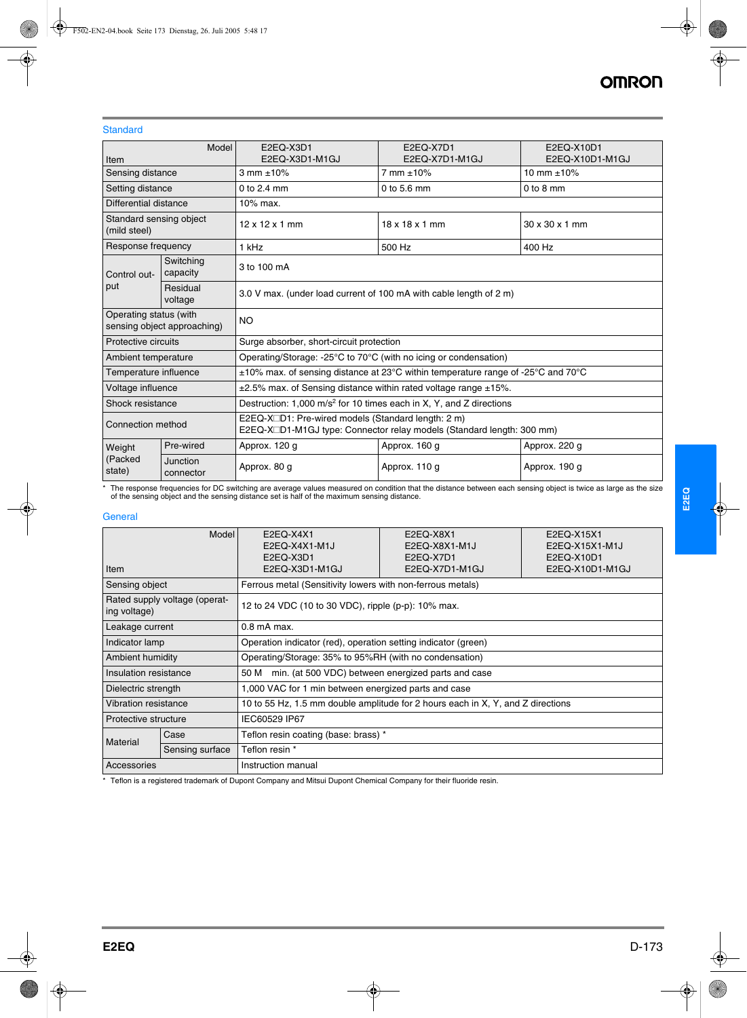### **Standard**

|                                         | Model                       | E2EQ-X3D1                                                                                                                   | E2EQ-X7D1                  | E2EQ-X10D1      |  |  |  |
|-----------------------------------------|-----------------------------|-----------------------------------------------------------------------------------------------------------------------------|----------------------------|-----------------|--|--|--|
| Item                                    |                             | E2EQ-X3D1-M1GJ                                                                                                              | E2EQ-X7D1-M1GJ             | E2EQ-X10D1-M1GJ |  |  |  |
| Sensing distance                        |                             | 3 mm $\pm 10\%$                                                                                                             | 7 mm ±10%                  | 10 mm $\pm$ 10% |  |  |  |
| Setting distance                        |                             | 0 to $2.4 \text{ mm}$                                                                                                       | 0 to 5.6 mm                | $0$ to $8$ mm   |  |  |  |
| Differential distance                   |                             | 10% max.                                                                                                                    |                            |                 |  |  |  |
| Standard sensing object<br>(mild steel) |                             | $12 \times 12 \times 1$ mm                                                                                                  | $18 \times 18 \times 1$ mm | 30 x 30 x 1 mm  |  |  |  |
| Response frequency                      |                             | 1 kHz                                                                                                                       | 500 Hz                     | 400 Hz          |  |  |  |
| Control out-                            | Switching<br>capacity       | 3 to 100 mA                                                                                                                 |                            |                 |  |  |  |
| put<br>Residual<br>voltage              |                             | 3.0 V max. (under load current of 100 mA with cable length of 2 m)                                                          |                            |                 |  |  |  |
| Operating status (with                  | sensing object approaching) | <b>NO</b>                                                                                                                   |                            |                 |  |  |  |
| Protective circuits                     |                             | Surge absorber, short-circuit protection                                                                                    |                            |                 |  |  |  |
| Ambient temperature                     |                             | Operating/Storage: -25°C to 70°C (with no icing or condensation)                                                            |                            |                 |  |  |  |
| Temperature influence                   |                             | $\pm 10\%$ max. of sensing distance at 23°C within temperature range of -25°C and 70°C                                      |                            |                 |  |  |  |
| Voltage influence                       |                             | $\pm 2.5$ % max. of Sensing distance within rated voltage range $\pm 15$ %.                                                 |                            |                 |  |  |  |
| Shock resistance                        |                             | Destruction: 1,000 m/s <sup>2</sup> for 10 times each in X, Y, and Z directions                                             |                            |                 |  |  |  |
| Connection method                       |                             | E2EQ-X□D1: Pre-wired models (Standard length: 2 m)<br>E2EQ-X□D1-M1GJ type: Connector relay models (Standard length: 300 mm) |                            |                 |  |  |  |
| Weight                                  | Pre-wired                   | Approx. 120 g                                                                                                               | Approx. 160 g              | Approx. 220 g   |  |  |  |
| (Packed<br>state)                       | Junction<br>connector       | Approx. 80 g                                                                                                                | Approx. 110 g              | Approx. 190 g   |  |  |  |

The response frequencies for DC switching are average values measured on condition that the distance between each sensing object is twice as large as the size \*<br>of the sensing object and the sensing distance set is half of

# **General**

| Model<br><b>Item</b>                                                             |                 | E2EQ-X4X1<br>E2EQ-X4X1-M1J<br>E2EQ-X3D1<br>E2EQ-X3D1-M1GJ                       | E2EQ-X8X1<br>E2EQ-X8X1-M1J<br>E2EQ-X7D1<br>E2EQ-X7D1-M1GJ | E2EQ-X15X1<br>E2EQ-X15X1-M1J<br>E2EQ-X10D1<br>E2EQ-X10D1-M1GJ |  |  |  |
|----------------------------------------------------------------------------------|-----------------|---------------------------------------------------------------------------------|-----------------------------------------------------------|---------------------------------------------------------------|--|--|--|
| Sensing object                                                                   |                 | Ferrous metal (Sensitivity lowers with non-ferrous metals)                      |                                                           |                                                               |  |  |  |
| Rated supply voltage (operat-<br>ing voltage)                                    |                 |                                                                                 | 12 to 24 VDC (10 to 30 VDC), ripple (p-p): 10% max.       |                                                               |  |  |  |
| Leakage current                                                                  |                 | $0.8$ mA max.                                                                   |                                                           |                                                               |  |  |  |
| Indicator lamp<br>Operation indicator (red), operation setting indicator (green) |                 |                                                                                 |                                                           |                                                               |  |  |  |
| Ambient humidity                                                                 |                 | Operating/Storage: 35% to 95%RH (with no condensation)                          |                                                           |                                                               |  |  |  |
| Insulation resistance                                                            |                 | 50 M                                                                            | min. (at 500 VDC) between energized parts and case        |                                                               |  |  |  |
| Dielectric strength                                                              |                 | 1,000 VAC for 1 min between energized parts and case                            |                                                           |                                                               |  |  |  |
| <b>Vibration resistance</b>                                                      |                 | 10 to 55 Hz, 1.5 mm double amplitude for 2 hours each in X, Y, and Z directions |                                                           |                                                               |  |  |  |
| Protective structure                                                             |                 | IEC60529 IP67                                                                   |                                                           |                                                               |  |  |  |
| Case<br><b>Material</b>                                                          |                 | Teflon resin coating (base: brass) *                                            |                                                           |                                                               |  |  |  |
|                                                                                  | Sensing surface | Teflon resin *                                                                  |                                                           |                                                               |  |  |  |
| Accessories                                                                      |                 | Instruction manual                                                              |                                                           |                                                               |  |  |  |

\* Teflon is a registered trademark of Dupont Company and Mitsui Dupont Chemical Company for their fluoride resin.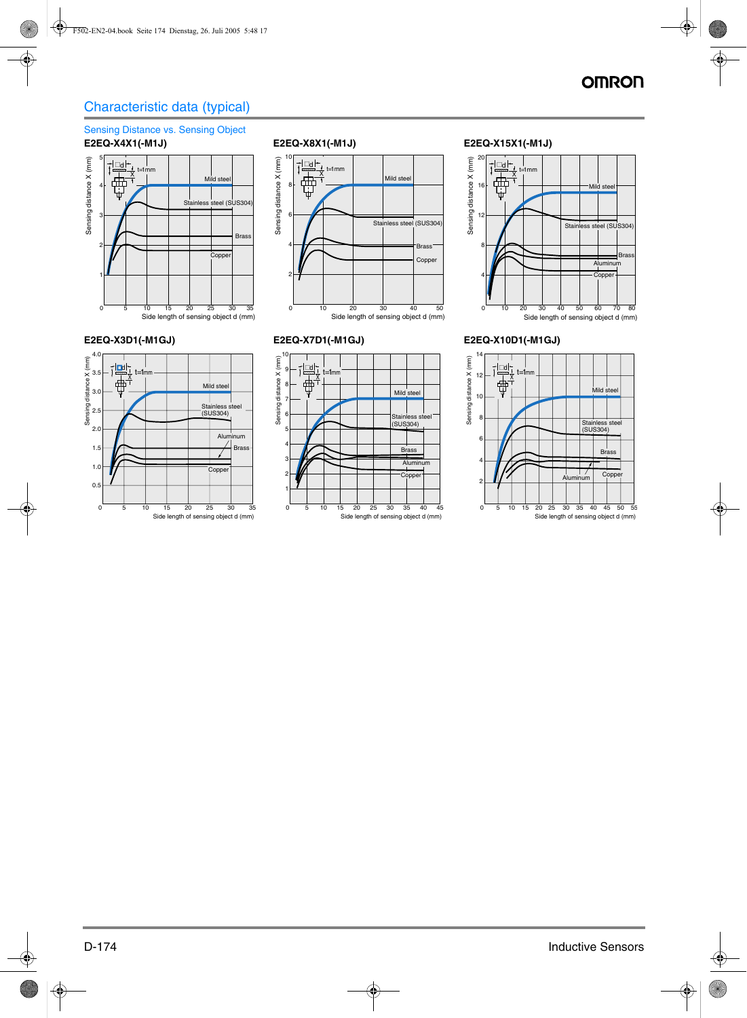# Characteristic data (typical)

# Sensing Distance vs. Sensing Object **E2EQ-X4X1(-M1J) E2EQ-X8X1(-M1J) E2EQ-X15X1(-M1J)**











# **E2EQ-X3D1(-M1GJ) E2EQ-X7D1(-M1GJ) E2EQ-X10D1(-M1GJ)**

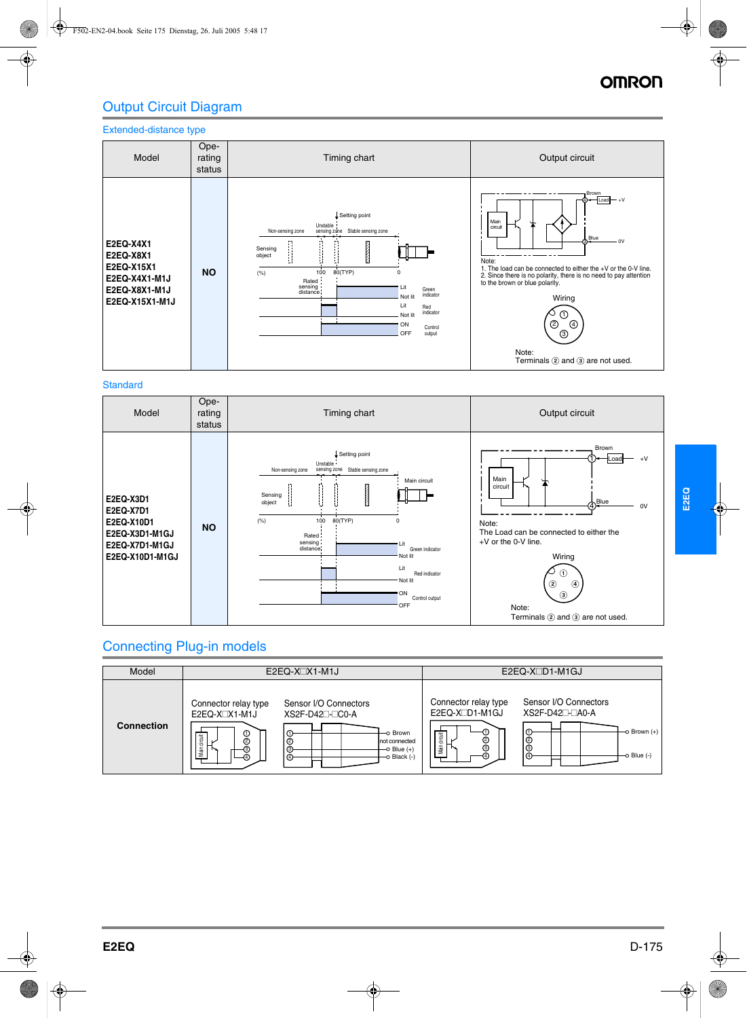# OMRO

# Output Circuit Diagram

# Extended-distance type



# **Standard**

| Model                                                                                       | Ope-<br>rating<br>status | Timing chart                                                                                                                                                                                                                                                                                                                        | Output circuit                                                                                                                                                                                                                                              |
|---------------------------------------------------------------------------------------------|--------------------------|-------------------------------------------------------------------------------------------------------------------------------------------------------------------------------------------------------------------------------------------------------------------------------------------------------------------------------------|-------------------------------------------------------------------------------------------------------------------------------------------------------------------------------------------------------------------------------------------------------------|
| E2EQ-X3D1<br>E2EQ-X7D1<br>E2EQ-X10D1<br>E2EQ-X3D1-M1GJ<br>E2EQ-X7D1-M1GJ<br>E2EQ-X10D1-M1GJ | <b>NO</b>                | Setting point<br>Unstable<br>sensing zone<br>Stable sensing zone<br>Non-sensing zone<br>Main circuit<br><b>READERS</b><br>Sensing<br>object<br>(% )<br>80(TYP)<br>100<br>$\Omega$<br>Rated<br>sensing:<br>' Lit<br>Green indicator<br>distance<br>Not lit<br>Lit<br>Red indicator<br>Not lit<br>ON.<br>Control output<br><b>OFF</b> | Brown<br>$+V$<br>Main<br>circuit<br>$\Phi^{\text{Blue}}$<br>0V<br>Note:<br>The Load can be connected to either the<br>+V or the 0-V line.<br>Wiring<br>(1)<br>$^{\circledR}$<br>$\circledcirc$<br>$\circled{3}$<br>Note:<br>Terminals 2 and 3 are not used. |

# Connecting Plug-in models

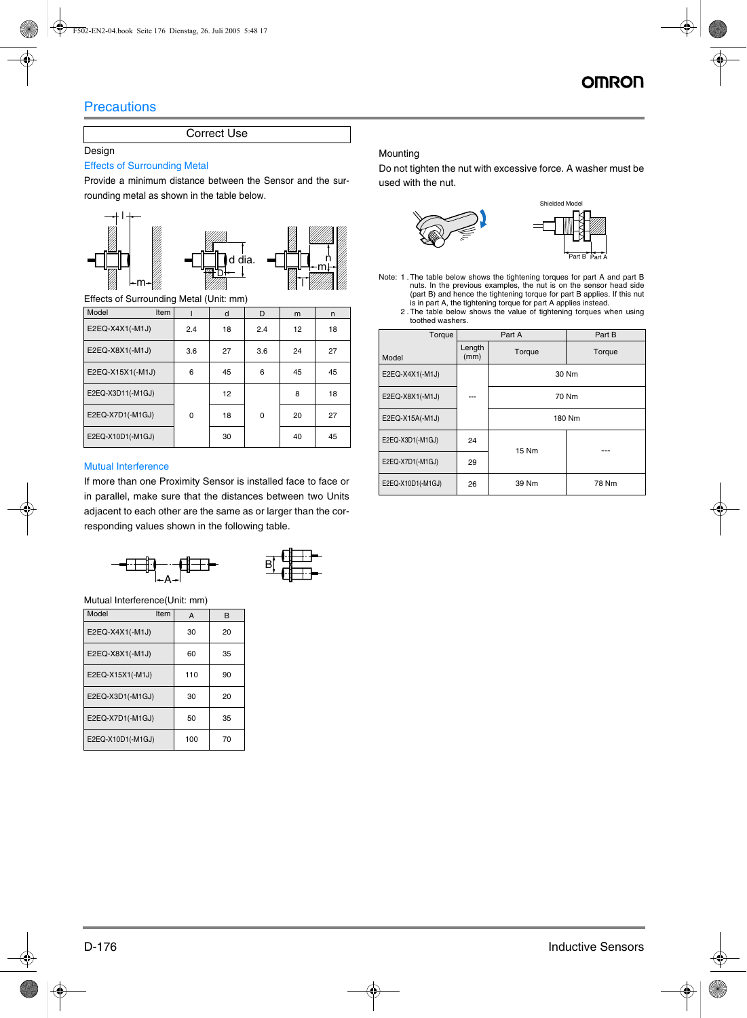# **Precautions**

# Correct Use

### Design

### Effects of Surrounding Metal

Provide a minimum distance between the Sensor and the surrounding metal as shown in the table below.





Effects of Surrounding Metal (Unit: mm)

| Model             | Item |     | d  | D   | m  | n  |
|-------------------|------|-----|----|-----|----|----|
| E2EQ-X4X1(-M1J)   |      | 2.4 | 18 | 2.4 | 12 | 18 |
| E2EQ-X8X1(-M1J)   |      | 3.6 | 27 | 3.6 | 24 | 27 |
| E2EQ-X15X1(-M1J)  |      | 6   | 45 | 6   | 45 | 45 |
| E2EQ-X3D11(-M1GJ) |      |     | 12 |     | 8  | 18 |
| E2EQ-X7D1(-M1GJ)  |      | 0   | 18 | 0   | 20 | 27 |
| E2EQ-X10D1(-M1GJ) |      |     | 30 |     | 40 | 45 |

# Mutual Interference

If more than one Proximity Sensor is installed face to face or in parallel, make sure that the distances between two Units adjacent to each other are the same as or larger than the corresponding values shown in the following table.





Mutual Interference(Unit: mm)

| Model<br>Item     | A   | в  |
|-------------------|-----|----|
| E2EQ-X4X1(-M1J)   | 30  | 20 |
| E2EQ-X8X1(-M1J)   | 60  | 35 |
| E2EQ-X15X1(-M1J)  | 110 | 90 |
| E2EQ-X3D1(-M1GJ)  | 30  | 20 |
| E2EQ-X7D1(-M1GJ)  | 50  | 35 |
| E2EQ-X10D1(-M1GJ) | 100 | 70 |

### Mounting

Do not tighten the nut with excessive force. A washer must be used with the nut.



- Note: 1 .The table below shows the tightening torques for part A and part B nuts. In the previous examples, the nut is on the sensor head side (part B) and hence the tightening torque for part B applies. If this nut is in part A, the tightening torque for part A applies instead. 2 .The table below shows the value of tightening torques when using
	- toothed washers.

| Torque            |                | Part A       | Part B |  |
|-------------------|----------------|--------------|--------|--|
| Model             | Length<br>(mm) | Torque       | Torque |  |
| E2EQ-X4X1(-M1J)   |                |              | 30 Nm  |  |
| E2EQ-X8X1(-M1J)   | ---            | 70 Nm        |        |  |
| E2EQ-X15A(-M1J)   |                | 180 Nm       |        |  |
| E2EQ-X3D1(-M1GJ)  | 24             | <b>15 Nm</b> |        |  |
| E2EQ-X7D1(-M1GJ)  | 29             |              |        |  |
| E2EQ-X10D1(-M1GJ) | 26             | 39 Nm        | 78 Nm  |  |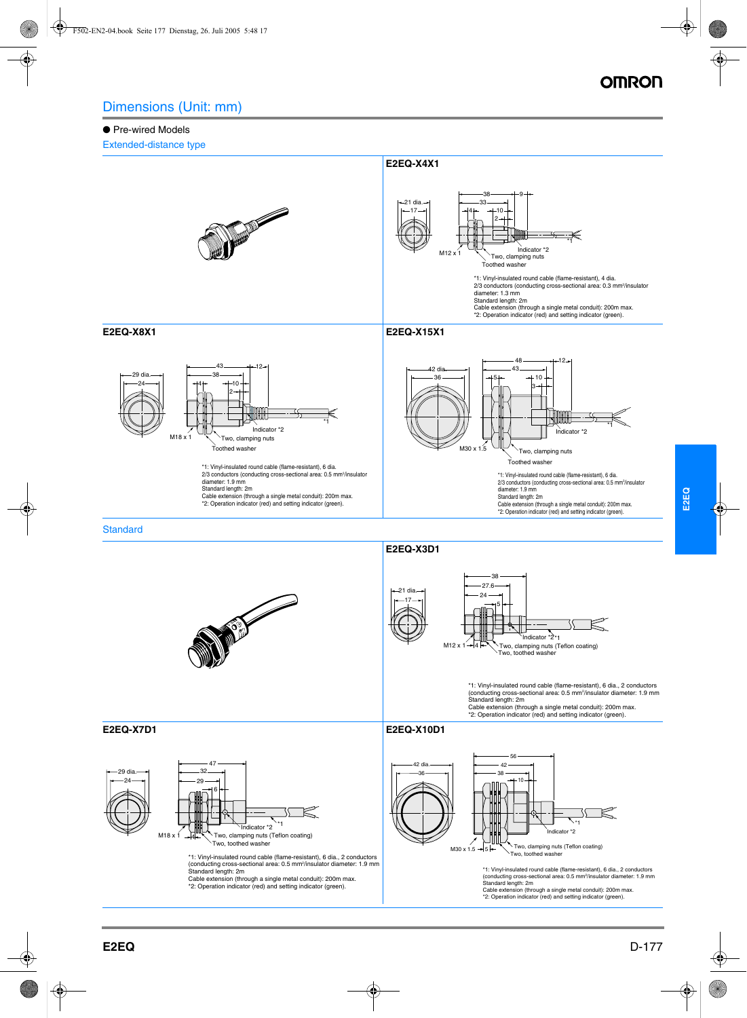### ● Pre-wired Models

Extended-distance type